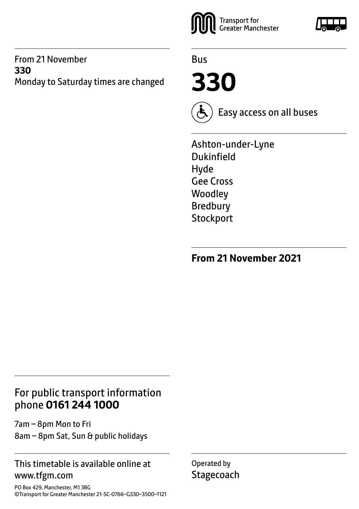#### From 21 November **330**  Monday to Saturday times are changed



Bus

**330**



Easy access on all buses

Ashton-under-Lyne Dukinfield Hyde Gee Cross **Woodley** Bredbury **Stockport** 

**From 21 November 2021**

## For public transport information phone **0161 244 1000**

7am – 8pm Mon to Fri 8am – 8pm Sat, Sun & public holidays

#### This timetable is available online at www.tfgm.com

PO Box 429, Manchester, M1 3BG ©Transport for Greater Manchester 21-SC-0766–G330–3500–1121 Operated by **Stagecoach** 

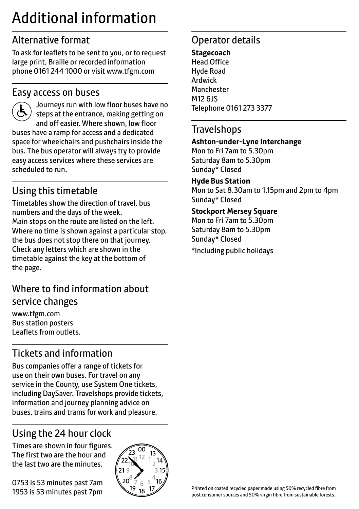# Additional information

# Alternative format

To ask for leaflets to be sent to you, or to request large print, Braille or recorded information phone 0161 244 1000 or visit www.tfgm.com

### Easy access on buses



 Journeys run with low floor buses have no steps at the entrance, making getting on and off easier. Where shown, low floor buses have a ramp for access and a dedicated space for wheelchairs and pushchairs inside the bus. The bus operator will always try to provide easy access services where these services are scheduled to run.

# Using this timetable

Timetables show the direction of travel, bus numbers and the days of the week. Main stops on the route are listed on the left. Where no time is shown against a particular stop, the bus does not stop there on that journey. Check any letters which are shown in the timetable against the key at the bottom of the page.

## Where to find information about service changes

www.tfgm.com Bus station posters Leaflets from outlets.

# Tickets and information

Bus companies offer a range of tickets for use on their own buses. For travel on any service in the County, use System One tickets, including DaySaver. Travelshops provide tickets, information and journey planning advice on buses, trains and trams for work and pleasure.

# Using the 24 hour clock

Times are shown in four figures. The first two are the hour and the last two are the minutes.

0753 is 53 minutes past 7am 1953 is 53 minutes past 7pm



# Operator details

**Stagecoach** Head Office Hyde Road Ardwick **Manchester** M12 6JS Telephone 0161 273 3377

#### **Travelshops**

#### **Ashton-under-Lyne Interchange**

Mon to Fri 7am to 5.30pm Saturday 8am to 5.30pm Sunday\* Closed

#### **Hyde Bus Station**

Mon to Sat 8.30am to 1.15pm and 2pm to 4pm Sunday\* Closed

#### **Stockport Mersey Square**

Mon to Fri 7am to 5.30pm Saturday 8am to 5.30pm Sunday\* Closed \*Including public holidays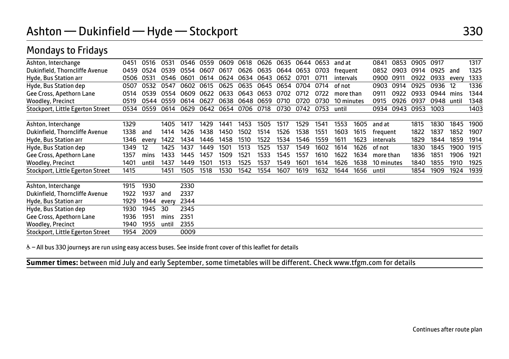Mondays to Fridays

| Ashton, Interchange              | 0451 | 0516  | 0531      | 0546 | 0559 | 0609 | 0618 | 0626 | 0635      | 0644 | 0653 | and at     |      | 0841       | 0853 | 0905 | 0917 |       | 1317        |
|----------------------------------|------|-------|-----------|------|------|------|------|------|-----------|------|------|------------|------|------------|------|------|------|-------|-------------|
| Dukinfield, Thorncliffe Avenue   | 0459 | 0524  | 0539      | 0554 | 0607 | 0617 | 0626 | 0635 | 0644 0653 |      | 0703 | frequent   |      | 0852       | 0903 | 0914 | 0925 | and   | 1325        |
| Hyde, Bus Station arr            | 0506 | 0531  | 0546 0601 |      | 0614 | 0624 | 0634 | 0643 | 0652      | 0701 | 0711 | intervals  |      | 0900       | 0911 | 0922 | 0933 | every | 1333        |
| Hyde, Bus Station dep            | 0507 | 0532  | 0547      | 0602 | 0615 | 0625 | 0635 | 0645 | 0654      | 0704 | 0714 | of not     |      | 0903       | 0914 | 0925 | 0936 | 12    | 1336        |
| Gee Cross, Apethorn Lane         | 0514 | 0539  | 0554      | 0609 | 0622 | 0633 | 0643 | 0653 | 0702      | 0712 | 0722 | more than  |      | 0911       | 0922 | 0933 | 0944 | mins  | 1344        |
| Woodley, Precinct                | 0519 | 0544  | 0559      | 0614 | 0627 | 0638 | 0648 | 0659 | 0710      | 0720 | 0730 | 10 minutes |      | 0915       | 0926 | 0937 | 0948 | until | 1348        |
| Stockport, Little Egerton Street | 0534 | 0559  | 0614      | 0629 | 0642 | 0654 | 0706 | 0718 | 0730      | 0742 | 0753 | until      |      | 0934       | 0943 | 0953 | 1003 |       | 1403        |
|                                  |      |       |           |      |      |      |      |      |           |      |      |            |      |            |      |      |      |       |             |
| Ashton, Interchange              | 1329 |       | 1405      | 1417 | 1429 | 1441 | 1453 | 1505 | 1517      | 1529 | 1541 | 1553       | 1605 | and at     |      | 1815 | 1830 | 1845  | <b>1900</b> |
| Dukinfield, Thorncliffe Avenue   | 1338 | and   | 1414      | 1426 | 1438 | 1450 | 1502 | 1514 | 1526      | 1538 | 1551 | 1603       | 1615 | frequent   |      | 1822 | 1837 | 1852  | 1907        |
| Hyde, Bus Station arr            | 1346 | every | 1422      | 1434 | 1446 | 1458 | 1510 | 1522 | 1534      | 1546 | 1559 | 1611       | 1623 | intervals  |      | 1829 | 1844 | 1859  | 1914        |
| Hyde, Bus Station dep            | 1349 | 12    | 1425      | 1437 | 1449 | 1501 | 1513 | 1525 | 1537      | 1549 | 1602 | 1614       | 1626 | of not     |      | 1830 | 1845 | 1900  | 1915        |
| Gee Cross, Apethorn Lane         | 1357 | mins  | 1433      | 1445 | 1457 | 1509 | 1521 | 1533 | 1545      | 1557 | 1610 | 1622       | 1634 | more than  |      | 1836 | 1851 | 1906  | 1921        |
| Woodley, Precinct                | 1401 | until | 1437      | 1449 | 1501 | 1513 | 1525 | 1537 | 1549      | 1601 | 1614 | 1626       | 1638 | 10 minutes |      | 1840 | 1855 | 1910  | 1925        |
| Stockport, Little Egerton Street | 1415 |       | 1451      | 1505 | 1518 | 1530 | 1542 | 1554 | 1607      | 1619 | 1632 | 1644       | 1656 | until      |      | 1854 | 1909 | 1924  | 1939        |
|                                  |      |       |           |      |      |      |      |      |           |      |      |            |      |            |      |      |      |       |             |
| Ashton, Interchange              | 1915 | 1930  |           | 2330 |      |      |      |      |           |      |      |            |      |            |      |      |      |       |             |
| Dukinfield, Thorncliffe Avenue   | 1922 | 1937  | and       | 2337 |      |      |      |      |           |      |      |            |      |            |      |      |      |       |             |
| Hyde, Bus Station arr            | 1929 | 1944  | every     | 2344 |      |      |      |      |           |      |      |            |      |            |      |      |      |       |             |
| Hyde, Bus Station dep            | 1930 | 1945  | 30        | 2345 |      |      |      |      |           |      |      |            |      |            |      |      |      |       |             |
| Gee Cross, Apethorn Lane         | 1936 | 1951  | mins      | 2351 |      |      |      |      |           |      |      |            |      |            |      |      |      |       |             |
| Woodley, Precinct                | 1940 | 1955  | until     | 2355 |      |      |      |      |           |      |      |            |      |            |      |      |      |       |             |
| Stockport, Little Egerton Street | 1954 | 2009  |           | 0009 |      |      |      |      |           |      |      |            |      |            |      |      |      |       |             |

& - All bus 330 journeys are run using easy access buses. See inside front cover of this leaflet for details

**Summer times:** between mid July and early September, some timetables will be different. Check www.tfgm.com for details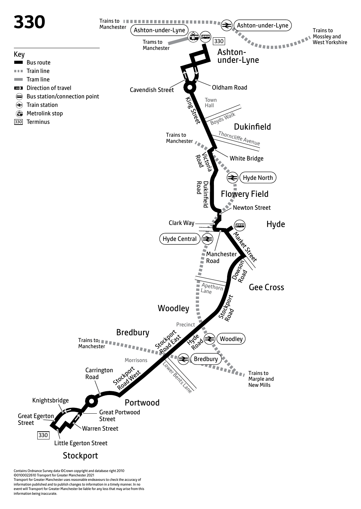

Contains Ordnance Survey data ©Crown copyright and database right 2010 ©0100022610 Transport for Greater Manchester 2021 Transport for Greater Manchester uses reasonable endeavours to check the accuracy of information published and to publish changes to information in a timely manner. In no event will Transport for Greater Manchester be liable for any loss that may arise from this information being inaccurate.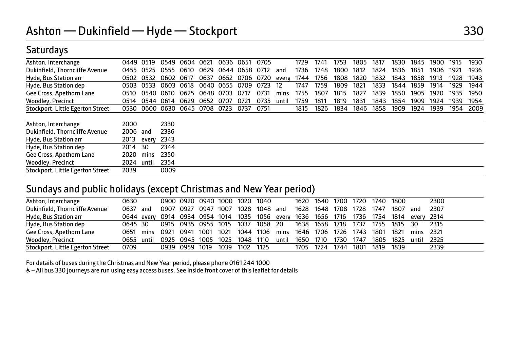## Saturdays

| Ashton, Interchange              | 0449 | 0519  | 0549      | 0604 | 0621 | 0636      | 0651           | 0705 |       | 1729 | 1741 | 1753 | 1805 | 1817 | 1830 | 1845 | 1900 | 1915 | 1930 |
|----------------------------------|------|-------|-----------|------|------|-----------|----------------|------|-------|------|------|------|------|------|------|------|------|------|------|
| Dukinfield, Thorncliffe Avenue   | 0455 | 0525  | 0555      | 0610 | 0629 |           | 0644 0658 0712 |      | and   | 1736 | 1748 | 1800 | 1812 | 1824 | 1836 | 1851 | 1906 | 1921 | 1936 |
| Hyde, Bus Station arr            | 0502 | 0532  | 0602      | 0617 | 0637 | 0652      | 0706 0720      |      | every | 1744 | 1756 | 1808 | 1820 | 1832 | 1843 | 1858 | 1913 | 1928 | 1943 |
| Hyde, Bus Station dep            | 0503 | 0533  | 0603      | 0618 |      | 0640 0655 | 0709           | 0723 | 12    | 1747 | 1759 | 1809 | 1821 | 1833 | 1844 | 1859 | 1914 | 1929 | 1944 |
| Gee Cross, Apethorn Lane         | 0510 | 0540  | 0610      | 0625 | 0648 | 0703      | 0717           | 0731 | mins  | 1755 | 1807 | 1815 | 1827 | 1839 | 1850 | 1905 | 1920 | 1935 | 1950 |
| Woodley, Precinct                | 0514 |       | 0544 0614 | 0629 | 0652 | 0707      | 0721           | 0735 | until | 1759 | 1811 | 1819 | 1831 | 1843 | 1854 | 1909 | 1924 | 1939 | 1954 |
| Stockport, Little Egerton Street | 0530 | 0600  | 0630 0645 |      | 0708 | 0723      | 0737           | 0751 |       | 1815 | 1826 | 1834 | 1846 | 1858 | 1909 | 1924 | 1939 | 1954 | 2009 |
| Ashton, Interchange              | 2000 |       | 2330      |      |      |           |                |      |       |      |      |      |      |      |      |      |      |      |      |
| Dukinfield, Thorncliffe Avenue   | 2006 | and   | 2336      |      |      |           |                |      |       |      |      |      |      |      |      |      |      |      |      |
| Hyde, Bus Station arr            | 2013 | every | 2343      |      |      |           |                |      |       |      |      |      |      |      |      |      |      |      |      |
| Hyde, Bus Station dep            | 2014 | 30    | 2344      |      |      |           |                |      |       |      |      |      |      |      |      |      |      |      |      |
| Gee Cross, Apethorn Lane         | 2020 | mins  | 2350      |      |      |           |                |      |       |      |      |      |      |      |      |      |      |      |      |
| Woodley, Precinct                | 2024 | until | 2354      |      |      |           |                |      |       |      |      |      |      |      |      |      |      |      |      |
| Stockport, Little Egerton Street | 2039 |       | 0009      |      |      |           |                |      |       |      |      |      |      |      |      |      |      |      |      |

#### Sundays and public holidays (except Christmas and New Year period)

| Ashton, Interchange              | 0630    |     |                                                                                         | 0900 0920 0940 1000 1020 1040 |      |      |           |                               |       |                | 1620 1640 1700 |      | 1720 | 1740      | 1800         |           | 2300   |
|----------------------------------|---------|-----|-----------------------------------------------------------------------------------------|-------------------------------|------|------|-----------|-------------------------------|-------|----------------|----------------|------|------|-----------|--------------|-----------|--------|
| Dukinfield, Thorncliffe Avenue   | 0637    | and | 0907 0927                                                                               |                               | 0947 | 1007 | 1028      | 1048 and                      |       | 1628           | 1648 1708      |      | 1728 | 1747      | 1807         | and       | 2307   |
| Hyde, Bus Station arr            |         |     | 0644 every 0914 0934 0954 1014 1035 1056 every 1636 1656 1716 1736 1754 1814 every 2314 |                               |      |      |           |                               |       |                |                |      |      |           |              |           |        |
| Hyde, Bus Station dep            | 0645 30 |     | 0915  0935  0955  1015  1037  1058  20  1638  1658  1718  1737                          |                               |      |      |           |                               |       |                |                |      |      |           | 1755 1815 30 |           | 2315   |
| Gee Cross, Apethorn Lane         |         |     | 0651 mins 0921 0941 1001 1021                                                           |                               |      |      | 1044      | 1106 mins 1646 1706 1726 1743 |       |                |                |      |      | 1801      | 1821         | mins 2321 |        |
| <b>Woodley, Precinct</b>         |         |     | 0655 until 0925 0945 1005 1025 1048 1110                                                |                               |      |      |           |                               | until | 1650 1710 1730 |                |      | 1747 | 1805 1825 |              | until     | - 2325 |
| Stockport, Little Egerton Street | 0709    |     | 0939 0959                                                                               |                               | 1019 | 1039 | 1102 1125 |                               |       | 1705 1724      |                | 1744 | 1801 | 1819      | 1839         |           | 2339   |

For details of buses during the Christmas and New Year period, please phone 0161 244 1000

& - All bus 330 journeys are run using easy access buses. See inside front cover of this leaflet for details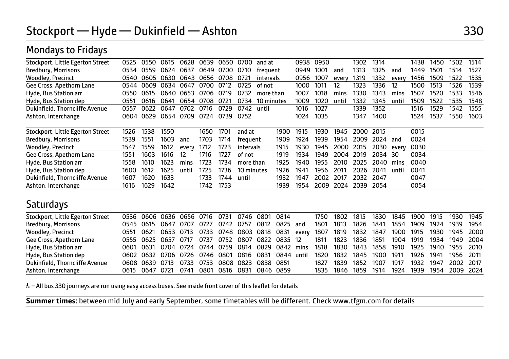| Stockport, Little Egerton Street | 0525 | 0550 | 0615      | 0628           | 0639      | 0650           | 0700       | and at     |      | 0938 | 0950 |       | 1302 | 1314    |       | 1438 | 1450 | 1502 | 1514 |
|----------------------------------|------|------|-----------|----------------|-----------|----------------|------------|------------|------|------|------|-------|------|---------|-------|------|------|------|------|
| Bredbury, Morrisons              | 0534 | 0559 | 0624 0637 |                |           | 0649 0700 0710 |            | freauent   |      | 0949 | 1001 | and   | 1313 | 1325    | and   | 1449 | 1501 | 1514 | 1527 |
| Woodley, Precinct                | 0540 |      |           | 0605 0630 0643 | 0656 0708 |                | 0721       | intervals  |      | 0956 | 1007 | every | 1319 | 1332    | every | 1456 | 1509 | 1522 | 1535 |
| Gee Cross, Apethorn Lane         | 0544 | 0609 | 0634 0647 |                | 0700      | 0712           | 0725       | of not     |      | 1000 | 1011 | 12    | 1323 | 1336    | 12    | 1500 | 1513 | 1526 | 1539 |
| Hyde, Bus Station arr            | 0550 | 0615 | 0640      | 0653           | 0706      | 0719           | 0732       | more than  |      | 1007 | 1018 | mins  | 1330 | 1343    | mins  | 1507 | 1520 | 1533 | 1546 |
| Hyde, Bus Station dep            | 0551 | 0616 | 0641      | 0654           | 0708      | 0721           | 0734       | 10 minutes |      | 1009 | 1020 | until | 1332 | 1345    | until | 1509 | 1522 | 1535 | 1548 |
| Dukinfield, Thorncliffe Avenue   | 0557 | 0622 | 0647      | 0702           | 0716      | 0729           | 0742       | until      |      | 1016 | 1027 |       | 1339 | 1352    |       | 1516 | 1529 | 1542 | 1555 |
| Ashton, Interchange              | 0604 | 0629 | 0654 0709 |                | 0724      | 0739 0752      |            |            |      | 1024 | 1035 |       | 1347 | 1400    |       | 1524 | 1537 | 1550 | 1603 |
|                                  |      |      |           |                |           |                |            |            |      |      |      |       |      |         |       |      |      |      |      |
| Stockport, Little Egerton Street | 1526 | 1538 | 1550      |                | 1650      | 1701           | and at     |            | 1900 | 1915 | 1930 | 1945  | 2000 | 2015    |       | 0015 |      |      |      |
| Bredbury, Morrisons              | 1539 | 1551 | 1603      | and            | 1703      | 1714           | frequent   |            | 1909 | 1924 | 1939 | 1954  | 2009 | 2024    | and   | 0024 |      |      |      |
| Woodley, Precinct                | 1547 | 1559 | 1612      | every          | 1712      | 1723           | intervals  |            | 1915 | 1930 | 1945 | 2000  | 2015 | 2030    | everv | 0030 |      |      |      |
| Gee Cross, Apethorn Lane         | 1551 | 1603 | 1616      | 12             | 1716      | 1727           | of not     |            | 1919 | 1934 | 1949 | 2004  | 2019 | 2034 30 |       | 0034 |      |      |      |
| Hyde, Bus Station arr            | 1558 | 1610 | 1623      | mins           | 1723      | 1734           | more than  |            | 1925 | 1940 | 1955 | 2010  | 2025 | 2040    | mins  | 0040 |      |      |      |
| Hyde, Bus Station dep            | 1600 | 1612 | 1625      | until          | 1725      | 1736           | 10 minutes |            | 1926 | 1941 | 1956 | 2011  | 2026 | 2041    | unti  | 0041 |      |      |      |
| Dukinfield, Thorncliffe Avenue   | 1607 | 1620 | 1633      |                | 1733      | 1744           | until      |            | 1932 | 1947 | 2002 | 2017  | 2032 | 2047    |       | 0047 |      |      |      |
| Ashton, Interchange              | 1616 | 1629 | 1642      |                | 1742      | 1753           |            |            | 1939 | 1954 | 2009 | 2024  | 2039 | 2054    |       | 0054 |      |      |      |

## Mondays to Fridays

### **Saturdays**

| Stockport, Little Egerton Street |                     |      |      | 0536 0606 0636 0656 0716 0731 0746 0801 0814       |      |           |          |                     | 1750 1802                                    | 1815 | 1830 |      | 1845 1900 1915 | 1930 1945                |  |
|----------------------------------|---------------------|------|------|----------------------------------------------------|------|-----------|----------|---------------------|----------------------------------------------|------|------|------|----------------|--------------------------|--|
| <b>Bredbury, Morrisons</b>       | 0545 0615 0647 0707 |      | 0727 | 0742 0757                                          |      | 0812      | 0825 and | 1801                | 1813                                         | 1826 | 1841 | 1854 | 1909 1924      | 1939 1954                |  |
| <b>Woodley, Precinct</b>         |                     |      |      | 0551 0621 0653 0713 0733 0748 0803 0818 0831 every |      |           |          |                     | 1807 1819 1832 1847 1900 1915 1930 1945 2000 |      |      |      |                |                          |  |
| Gee Cross, Apethorn Lane         |                     |      |      | 0555 0625 0657 0717 0737 0752 0807 0822 0835 12    |      |           |          |                     | 1811 1823 1836 1851                          |      |      |      |                | 1904 1919 1934 1949 2004 |  |
| Hyde, Bus Station arr            |                     |      |      | 0601 0631 0704 0724 0744 0759 0814 0829 0842 mins  |      |           |          | 1818 1830 1843 1858 |                                              |      |      | 1910 |                | 1925 1940 1955 2010      |  |
| Hyde, Bus Station dep            |                     |      |      | 0602 0632 0706 0726 0746 0801 0816 0831 0844 until |      |           |          | 1820                | 1832 1845 1900                               |      |      | 1911 |                | 1926 1941 1956 2011      |  |
| Dukinfield, Thorncliffe Avenue   | 0608 0639 0713 0733 |      |      | 0753 0808 0823 0838 0851                           |      |           |          | 1827                | 1839                                         | 1852 | 1907 | 1917 | 1932           | 1947 2002 2017           |  |
| Ashton, Interchange              | 0615 0647 0721      | 0741 |      | 0801 0816                                          | 0831 | 0846 0859 |          |                     | 1835 1846                                    | 1859 | 1914 | 1924 |                | 1939 1954 2009 2024      |  |

& - All bus 330 journeys are run using easy access buses. See inside front cover of this leaflet for details

**Summer times**: between mid July and early September, some timetables will be different. Check www.tfgm.com for details